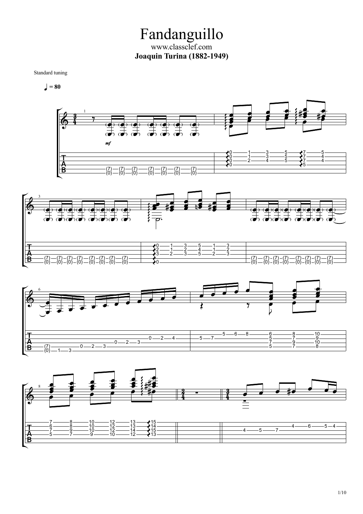Fandanguillo www.classclef.com **Joaquin Turina (1882-1949)**

Standard tuning

$$
\bullet = 80
$$







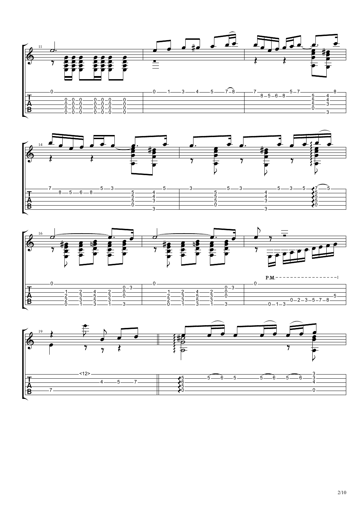





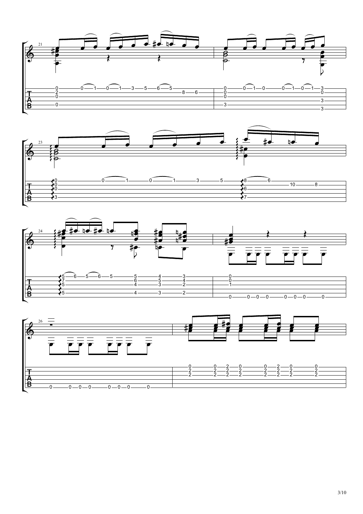





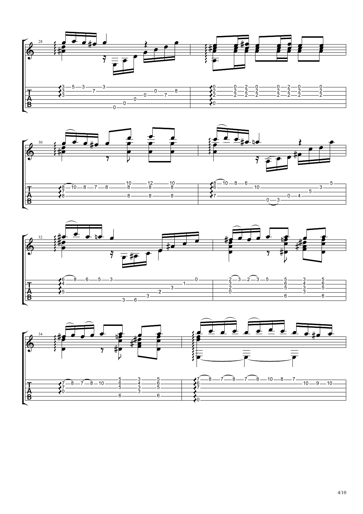





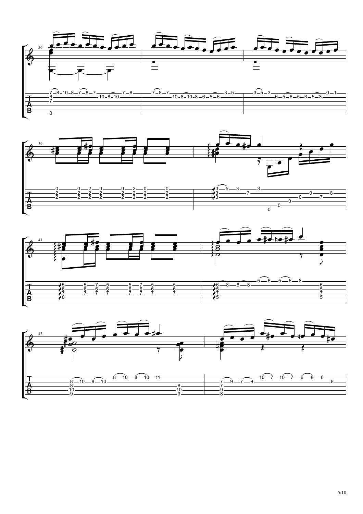





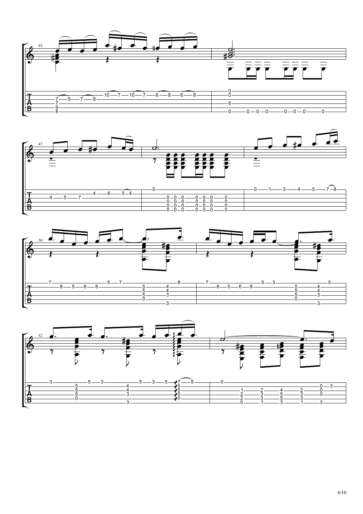





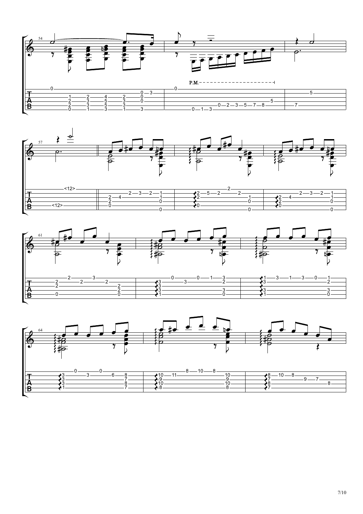





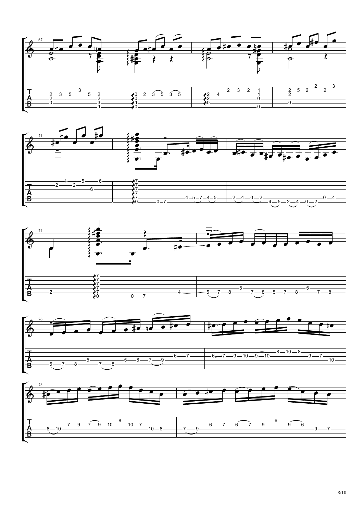







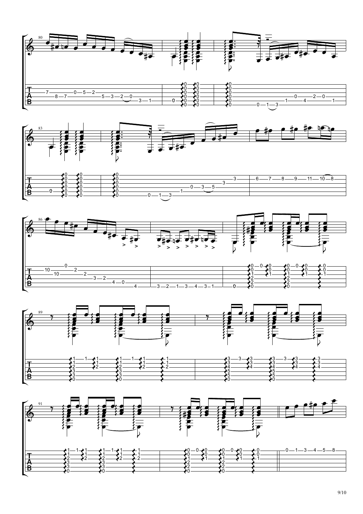